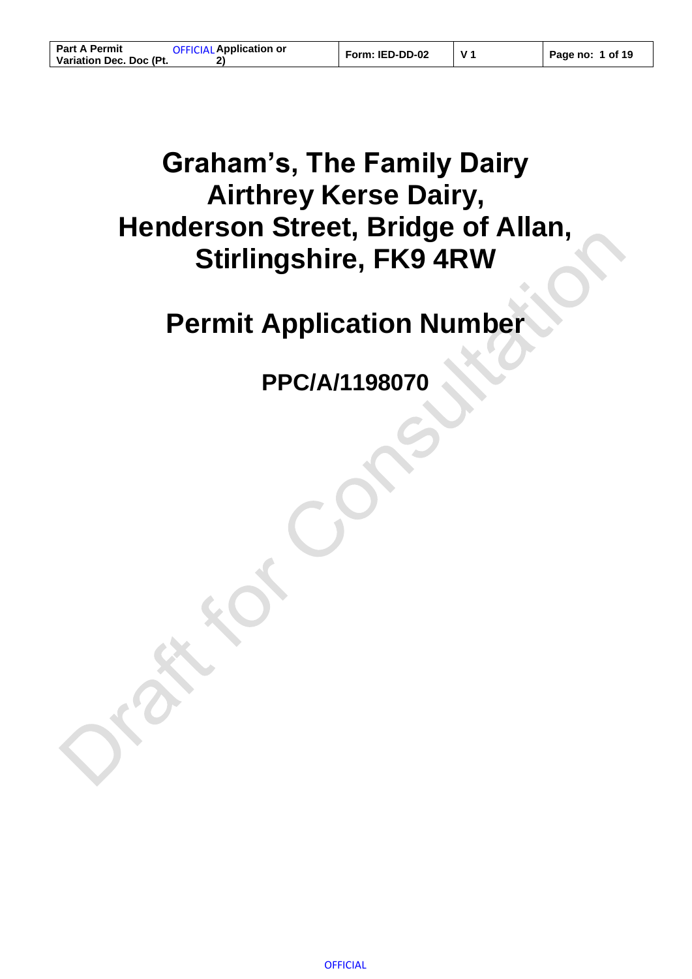# **Graham's, The Family Dairy Airthrey Kerse Dairy, Henderson Street, Bridge of Allan, Stirlingshire, FK9 4RW**

# **Permit Application Number**

**PPC/A/1198070**

**OFFICIAL**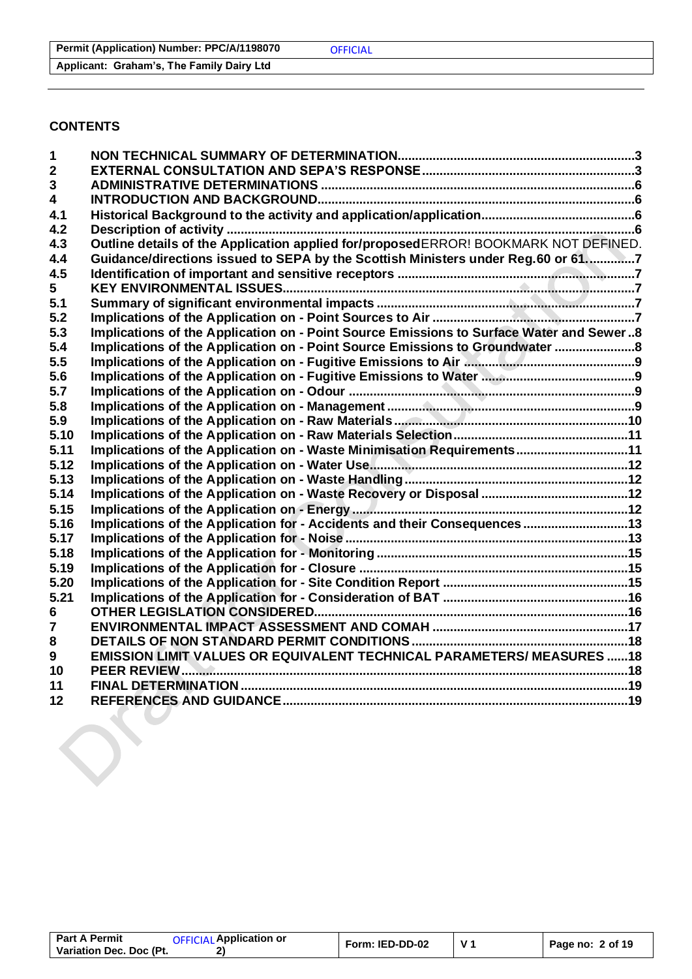#### **Applicant: Graham's, The Family Dairy Ltd**

## **CONTENTS**

| $\mathbf{1}$            |                                                                                         |  |
|-------------------------|-----------------------------------------------------------------------------------------|--|
| $\mathbf{2}$            |                                                                                         |  |
| 3                       |                                                                                         |  |
| $\overline{\mathbf{4}}$ |                                                                                         |  |
| 4.1                     |                                                                                         |  |
| 4.2                     |                                                                                         |  |
| 4.3                     | Outline details of the Application applied for/proposedERROR! BOOKMARK NOT DEFINED.     |  |
| 4.4                     | Guidance/directions issued to SEPA by the Scottish Ministers under Reg.60 or 617        |  |
| 4.5                     |                                                                                         |  |
| 5.                      |                                                                                         |  |
| 5.1                     |                                                                                         |  |
| 5.2                     |                                                                                         |  |
| 5.3                     | Implications of the Application on - Point Source Emissions to Surface Water and Sewer8 |  |
| 5.4                     | Implications of the Application on - Point Source Emissions to Groundwater              |  |
| 5.5                     |                                                                                         |  |
| 5.6                     |                                                                                         |  |
| 5.7                     |                                                                                         |  |
| 5.8                     |                                                                                         |  |
| 5.9                     |                                                                                         |  |
| 5.10                    |                                                                                         |  |
| 5.11                    | Implications of the Application on - Waste Minimisation Requirements11                  |  |
| 5.12                    |                                                                                         |  |
| 5.13                    |                                                                                         |  |
| 5.14                    |                                                                                         |  |
| 5.15                    |                                                                                         |  |
| 5.16                    | Implications of the Application for - Accidents and their Consequences 13               |  |
| 5.17                    |                                                                                         |  |
| 5.18                    |                                                                                         |  |
| 5.19                    |                                                                                         |  |
| 5.20                    |                                                                                         |  |
| 5.21                    |                                                                                         |  |
| 6                       |                                                                                         |  |
| $\overline{7}$          |                                                                                         |  |
| 8                       |                                                                                         |  |
| $\boldsymbol{9}$        | <b>EMISSION LIMIT VALUES OR EQUIVALENT TECHNICAL PARAMETERS/ MEASURES 18</b>            |  |
| 10                      |                                                                                         |  |
| 11                      |                                                                                         |  |
| 12                      |                                                                                         |  |
|                         |                                                                                         |  |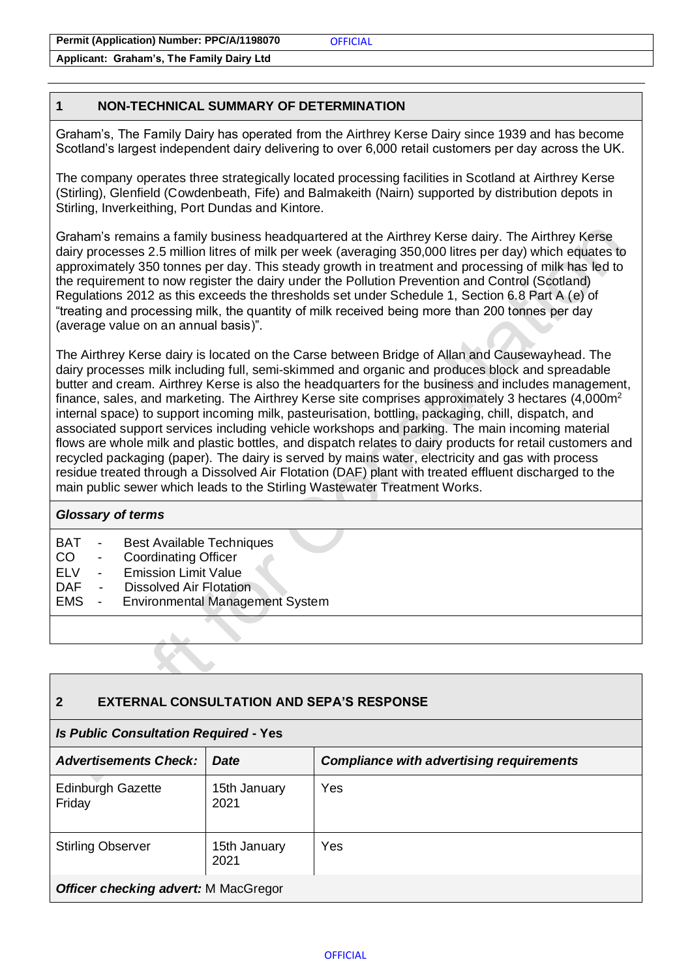**Applicant: Graham's, The Family Dairy Ltd**

## <span id="page-2-0"></span>**1 NON-TECHNICAL SUMMARY OF DETERMINATION**

Graham's, The Family Dairy has operated from the Airthrey Kerse Dairy since 1939 and has become Scotland's largest independent dairy delivering to over 6,000 retail customers per day across the UK.

The company operates three strategically located processing facilities in Scotland at Airthrey Kerse (Stirling), Glenfield (Cowdenbeath, Fife) and Balmakeith (Nairn) supported by distribution depots in Stirling, Inverkeithing, Port Dundas and Kintore.

Graham's remains a family business headquartered at the Airthrey Kerse dairy. The Airthrey Kerse dairy processes 2.5 million litres of milk per week (averaging 350,000 litres per day) which equates to approximately 350 tonnes per day. This steady growth in treatment and processing of milk has led to the requirement to now register the dairy under the Pollution Prevention and Control (Scotland) Regulations 2012 as this exceeds the thresholds set under Schedule 1, Section 6.8 Part A (e) of "treating and processing milk, the quantity of milk received being more than 200 tonnes per day (average value on an annual basis)".

The Airthrey Kerse dairy is located on the Carse between Bridge of Allan and Causewayhead. The dairy processes milk including full, semi-skimmed and organic and produces block and spreadable butter and cream. Airthrey Kerse is also the headquarters for the business and includes management, finance, sales, and marketing. The Airthrey Kerse site comprises approximately 3 hectares  $(4,000m^2)$ internal space) to support incoming milk, pasteurisation, bottling, packaging, chill, dispatch, and associated support services including vehicle workshops and parking. The main incoming material flows are whole milk and plastic bottles, and dispatch relates to dairy products for retail customers and recycled packaging (paper). The dairy is served by mains water, electricity and gas with process residue treated through a Dissolved Air Flotation (DAF) plant with treated effluent discharged to the main public sewer which leads to the Stirling Wastewater Treatment Works.

#### *Glossary of terms*

- BAT Best Available Techniques
- CO Coordinating Officer
- ELV Emission Limit Value
- DAF Dissolved Air Flotation
- EMS Environmental Management System

### <span id="page-2-1"></span>**2 EXTERNAL CONSULTATION AND SEPA'S RESPONSE**

#### *Is Public Consultation Required* **- Yes**

| <b>Advertisements Check:</b>                | <b>Date</b>          | <b>Compliance with advertising requirements</b> |  |
|---------------------------------------------|----------------------|-------------------------------------------------|--|
| <b>Edinburgh Gazette</b><br>Friday          | 15th January<br>2021 | Yes                                             |  |
| <b>Stirling Observer</b>                    | 15th January<br>2021 | Yes                                             |  |
| <b>Officer checking advert: M MacGregor</b> |                      |                                                 |  |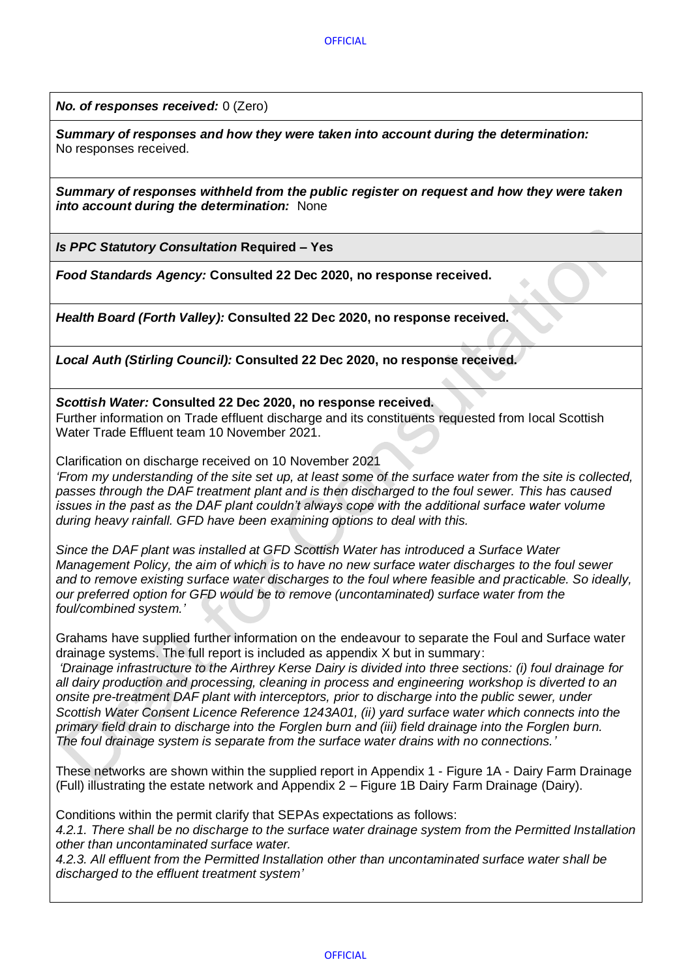*No. of responses received:* 0 (Zero)

*Summary of responses and how they were taken into account during the determination:* No responses received.

*Summary of responses withheld from the public register on request and how they were taken into account during the determination:* None

*Is PPC Statutory Consultation* **Required – Yes**

*Food Standards Agency:* **Consulted 22 Dec 2020, no response received.**

*Health Board (Forth Valley):* **Consulted 22 Dec 2020, no response received.**

*Local Auth (Stirling Council):* **Consulted 22 Dec 2020, no response received.**

*Scottish Water:* **Consulted 22 Dec 2020, no response received.** Further information on Trade effluent discharge and its constituents requested from local Scottish Water Trade Effluent team 10 November 2021.

Clarification on discharge received on 10 November 2021

*'From my understanding of the site set up, at least some of the surface water from the site is collected, passes through the DAF treatment plant and is then discharged to the foul sewer. This has caused issues in the past as the DAF plant couldn't always cope with the additional surface water volume during heavy rainfall. GFD have been examining options to deal with this.*

*Since the DAF plant was installed at GFD Scottish Water has introduced a Surface Water Management Policy, the aim of which is to have no new surface water discharges to the foul sewer and to remove existing surface water discharges to the foul where feasible and practicable. So ideally, our preferred option for GFD would be to remove (uncontaminated) surface water from the foul/combined system.'*

Grahams have supplied further information on the endeavour to separate the Foul and Surface water drainage systems. The full report is included as appendix X but in summary:

*'Drainage infrastructure to the Airthrey Kerse Dairy is divided into three sections: (i) foul drainage for all dairy production and processing, cleaning in process and engineering workshop is diverted to an onsite pre-treatment DAF plant with interceptors, prior to discharge into the public sewer, under Scottish Water Consent Licence Reference 1243A01, (ii) yard surface water which connects into the primary field drain to discharge into the Forglen burn and (iii) field drainage into the Forglen burn. The foul drainage system is separate from the surface water drains with no connections.'*

These networks are shown within the supplied report in Appendix 1 - Figure 1A - Dairy Farm Drainage (Full) illustrating the estate network and Appendix 2 – Figure 1B Dairy Farm Drainage (Dairy).

Conditions within the permit clarify that SEPAs expectations as follows:

*4.2.1. There shall be no discharge to the surface water drainage system from the Permitted Installation other than uncontaminated surface water.*

*4.2.3. All effluent from the Permitted Installation other than uncontaminated surface water shall be discharged to the effluent treatment system'*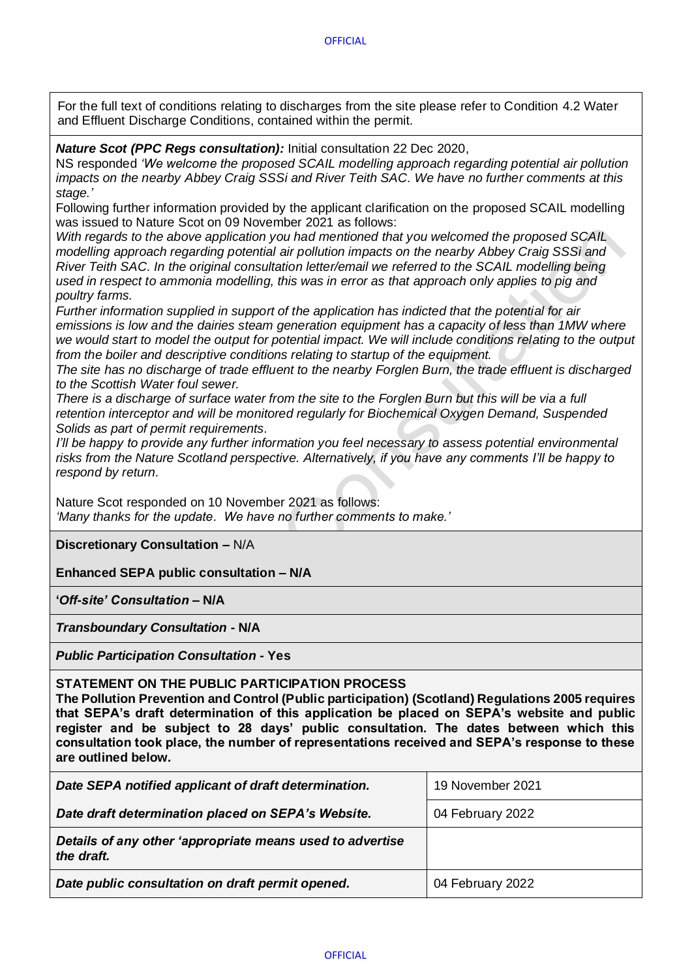**OFFICIAL** 

For the full text of conditions relating to discharges from the site please refer to Condition 4.2 Water and Effluent Discharge Conditions, contained within the permit.

*Nature Scot (PPC Regs consultation):* Initial consultation 22 Dec 2020,

NS responded *'We welcome the proposed SCAIL modelling approach regarding potential air pollution impacts on the nearby Abbey Craig SSSi and River Teith SAC. We have no further comments at this stage.'*

Following further information provided by the applicant clarification on the proposed SCAIL modelling was issued to Nature Scot on 09 November 2021 as follows:

*With regards to the above application you had mentioned that you welcomed the proposed SCAIL modelling approach regarding potential air pollution impacts on the nearby Abbey Craig SSSi and River Teith SAC. In the original consultation letter/email we referred to the SCAIL modelling being used in respect to ammonia modelling, this was in error as that approach only applies to pig and poultry farms.*

*Further information supplied in support of the application has indicted that the potential for air emissions is low and the dairies steam generation equipment has a capacity of less than 1MW where we would start to model the output for potential impact. We will include conditions relating to the output from the boiler and descriptive conditions relating to startup of the equipment.*

*The site has no discharge of trade effluent to the nearby Forglen Burn, the trade effluent is discharged to the Scottish Water foul sewer.*

*There is a discharge of surface water from the site to the Forglen Burn but this will be via a full retention interceptor and will be monitored regularly for Biochemical Oxygen Demand, Suspended Solids as part of permit requirements.*

*I'll be happy to provide any further information you feel necessary to assess potential environmental risks from the Nature Scotland perspective. Alternatively, if you have any comments I'll be happy to respond by return.*

Nature Scot responded on 10 November 2021 as follows: *'Many thanks for the update. We have no further comments to make.'*

**Discretionary Consultation –** N/A

**Enhanced SEPA public consultation – N/A**

**'***Off-site' Consultation* **– N/A**

*Transboundary Consultation* **- N/A**

*Public Participation Consultation -* **Yes**

**STATEMENT ON THE PUBLIC PARTICIPATION PROCESS** 

**The Pollution Prevention and Control (Public participation) (Scotland) Regulations 2005 requires that SEPA's draft determination of this application be placed on SEPA's website and public register and be subject to 28 days' public consultation. The dates between which this consultation took place, the number of representations received and SEPA's response to these are outlined below***.* 

| Date SEPA notified applicant of draft determination.                    | 19 November 2021 |
|-------------------------------------------------------------------------|------------------|
| Date draft determination placed on SEPA's Website.                      | 04 February 2022 |
| Details of any other 'appropriate means used to advertise<br>the draft. |                  |
| Date public consultation on draft permit opened.                        | 04 February 2022 |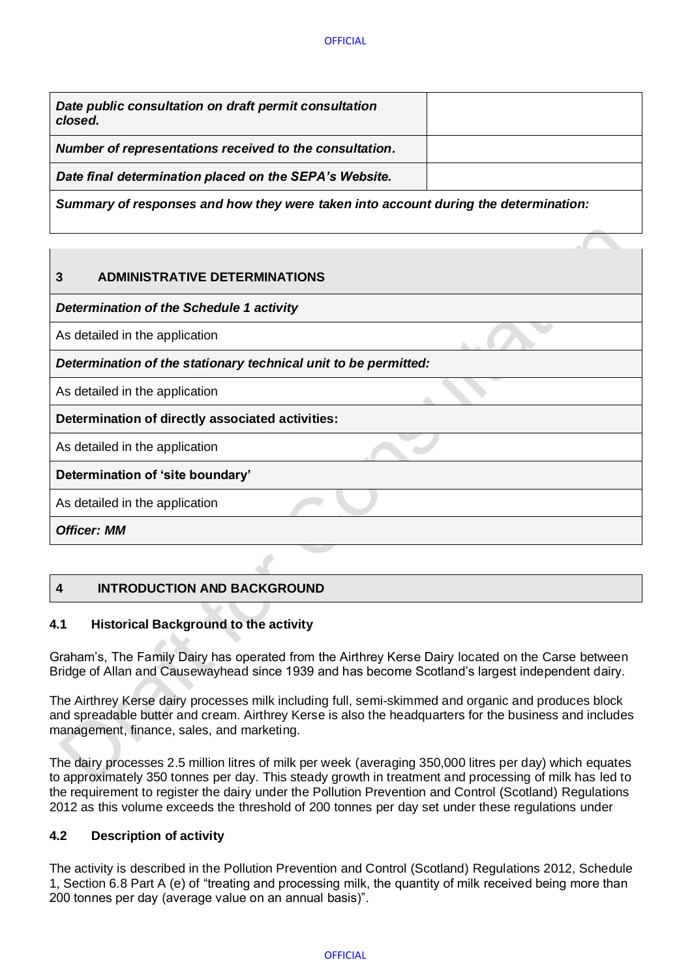| Date public consultation on draft permit consultation<br>closed. |  |
|------------------------------------------------------------------|--|
| Number of representations received to the consultation.          |  |
| Date final determination placed on the SEPA's Website.           |  |

*Summary of responses and how they were taken into account during the determination:*

## <span id="page-5-0"></span>**3 ADMINISTRATIVE DETERMINATIONS**

*Determination of the Schedule 1 activity* 

As detailed in the application

*Determination of the stationary technical unit to be permitted:* 

As detailed in the application

**Determination of directly associated activities:**

As detailed in the application

## **Determination of 'site boundary'**

As detailed in the application

*Officer: MM*

# <span id="page-5-1"></span>**4 INTRODUCTION AND BACKGROUND**

## <span id="page-5-2"></span>**4.1 Historical Background to the activity**

Graham's, The Family Dairy has operated from the Airthrey Kerse Dairy located on the Carse between Bridge of Allan and Causewayhead since 1939 and has become Scotland's largest independent dairy.

The Airthrey Kerse dairy processes milk including full, semi-skimmed and organic and produces block and spreadable butter and cream. Airthrey Kerse is also the headquarters for the business and includes management, finance, sales, and marketing.

The dairy processes 2.5 million litres of milk per week (averaging 350,000 litres per day) which equates to approximately 350 tonnes per day. This steady growth in treatment and processing of milk has led to the requirement to register the dairy under the Pollution Prevention and Control (Scotland) Regulations 2012 as this volume exceeds the threshold of 200 tonnes per day set under these regulations under

### <span id="page-5-3"></span>**4.2 Description of activity**

The activity is described in the Pollution Prevention and Control (Scotland) Regulations 2012, Schedule 1, Section 6.8 Part A (e) of "treating and processing milk, the quantity of milk received being more than 200 tonnes per day (average value on an annual basis)".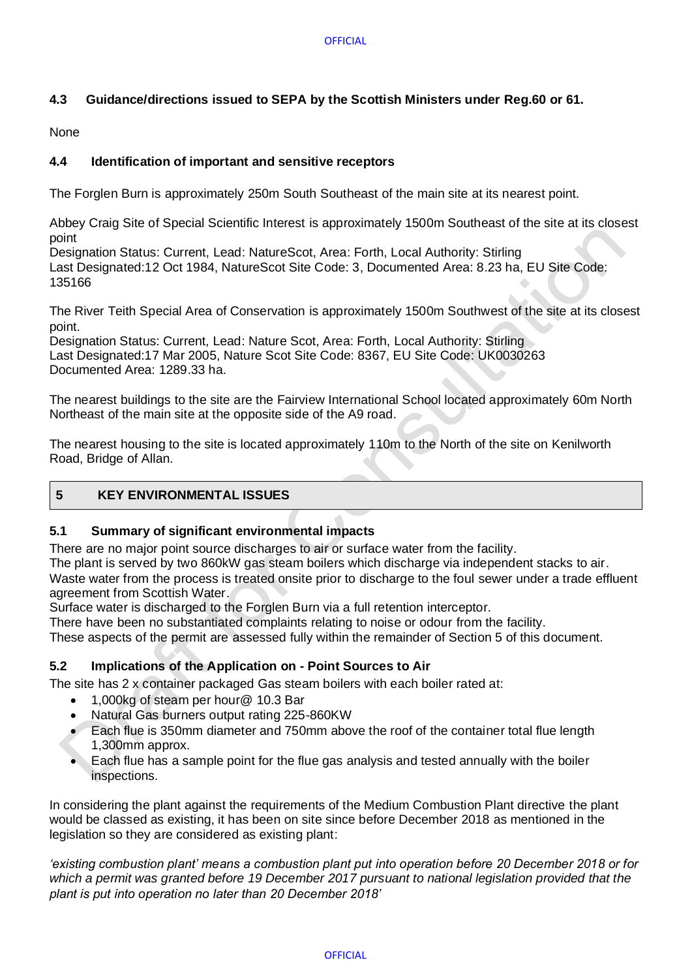## <span id="page-6-0"></span>**4.3 Guidance/directions issued to SEPA by the Scottish Ministers under Reg.60 or 61.**

None

## <span id="page-6-1"></span>**4.4 Identification of important and sensitive receptors**

The Forglen Burn is approximately 250m South Southeast of the main site at its nearest point.

Abbey Craig Site of Special Scientific Interest is approximately 1500m Southeast of the site at its closest point

Designation Status: Current, Lead: NatureScot, Area: Forth, Local Authority: Stirling Last Designated:12 Oct 1984, NatureScot Site Code: 3, Documented Area: 8.23 ha, EU Site Code: 135166

The River Teith Special Area of Conservation is approximately 1500m Southwest of the site at its closest point.

Designation Status: Current, Lead: Nature Scot, Area: Forth, Local Authority: Stirling Last Designated:17 Mar 2005, Nature Scot Site Code: 8367, EU Site Code: UK0030263 Documented Area: 1289.33 ha.

The nearest buildings to the site are the Fairview International School located approximately 60m North Northeast of the main site at the opposite side of the A9 road.

The nearest housing to the site is located approximately 110m to the North of the site on Kenilworth Road, Bridge of Allan.

## <span id="page-6-2"></span>**5 KEY ENVIRONMENTAL ISSUES**

### <span id="page-6-3"></span>**5.1 Summary of significant environmental impacts**

There are no major point source discharges to air or surface water from the facility.

The plant is served by two 860kW gas steam boilers which discharge via independent stacks to air.

Waste water from the process is treated onsite prior to discharge to the foul sewer under a trade effluent agreement from Scottish Water.

Surface water is discharged to the Forglen Burn via a full retention interceptor.

There have been no substantiated complaints relating to noise or odour from the facility.

These aspects of the permit are assessed fully within the remainder of Section 5 of this document.

### <span id="page-6-4"></span>**5.2 Implications of the Application on - Point Sources to Air**

The site has 2 x container packaged Gas steam boilers with each boiler rated at:

- 1,000kg of steam per hour@ 10.3 Bar
- Natural Gas burners output rating 225-860KW
- Each flue is 350mm diameter and 750mm above the roof of the container total flue length 1,300mm approx.
- Each flue has a sample point for the flue gas analysis and tested annually with the boiler inspections.

In considering the plant against the requirements of the Medium Combustion Plant directive the plant would be classed as existing, it has been on site since before December 2018 as mentioned in the legislation so they are considered as existing plant:

*'existing combustion plant' means a combustion plant put into operation before 20 December 2018 or for which a permit was granted before 19 December 2017 pursuant to national legislation provided that the plant is put into operation no later than 20 December 2018'*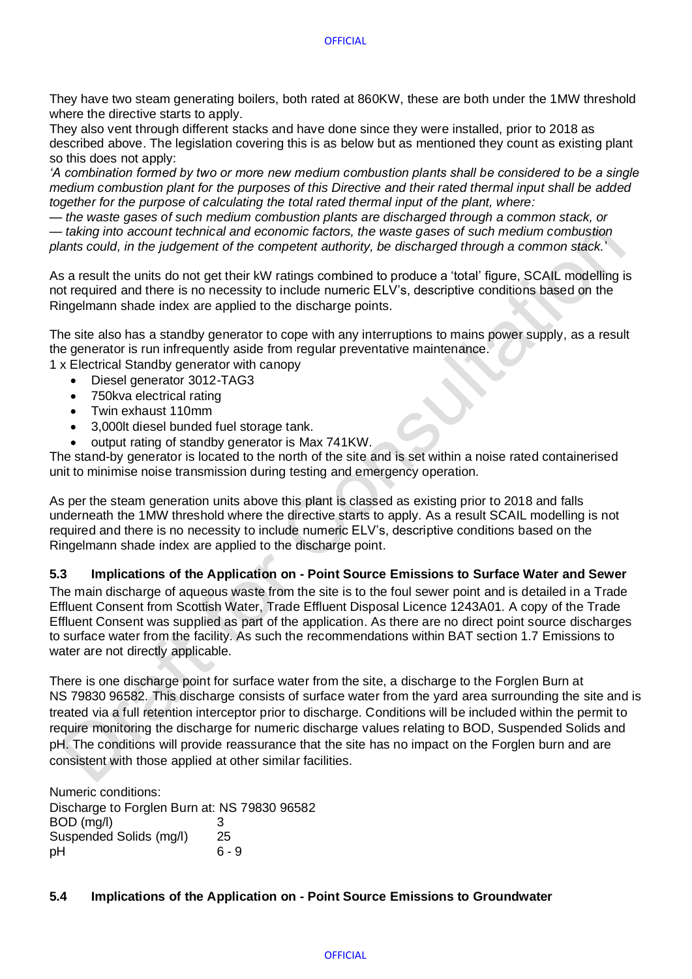They have two steam generating boilers, both rated at 860KW, these are both under the 1MW threshold where the directive starts to apply.

They also vent through different stacks and have done since they were installed, prior to 2018 as described above. The legislation covering this is as below but as mentioned they count as existing plant so this does not apply:

*'A combination formed by two or more new medium combustion plants shall be considered to be a single medium combustion plant for the purposes of this Directive and their rated thermal input shall be added together for the purpose of calculating the total rated thermal input of the plant, where:* 

*— the waste gases of such medium combustion plants are discharged through a common stack, or — taking into account technical and economic factors, the waste gases of such medium combustion plants could, in the judgement of the competent authority, be discharged through a common stack.*'

As a result the units do not get their kW ratings combined to produce a 'total' figure, SCAIL modelling is not required and there is no necessity to include numeric ELV's, descriptive conditions based on the Ringelmann shade index are applied to the discharge points.

The site also has a standby generator to cope with any interruptions to mains power supply, as a result the generator is run infrequently aside from regular preventative maintenance.

- 1 x Electrical Standby generator with canopy
	- Diesel generator 3012-TAG3
	- 750kva electrical rating
	- Twin exhaust 110mm
	- 3,000lt diesel bunded fuel storage tank.
	- output rating of standby generator is Max 741KW.

The stand-by generator is located to the north of the site and is set within a noise rated containerised unit to minimise noise transmission during testing and emergency operation.

As per the steam generation units above this plant is classed as existing prior to 2018 and falls underneath the 1MW threshold where the directive starts to apply. As a result SCAIL modelling is not required and there is no necessity to include numeric ELV's, descriptive conditions based on the Ringelmann shade index are applied to the discharge point.

### <span id="page-7-0"></span>**5.3 Implications of the Application on - Point Source Emissions to Surface Water and Sewer**

The main discharge of aqueous waste from the site is to the foul sewer point and is detailed in a Trade Effluent Consent from Scottish Water, Trade Effluent Disposal Licence 1243A01. A copy of the Trade Effluent Consent was supplied as part of the application. As there are no direct point source discharges to surface water from the facility. As such the recommendations within BAT section 1.7 Emissions to water are not directly applicable.

There is one discharge point for surface water from the site, a discharge to the Forglen Burn at NS 79830 96582. This discharge consists of surface water from the yard area surrounding the site and is treated via a full retention interceptor prior to discharge. Conditions will be included within the permit to require monitoring the discharge for numeric discharge values relating to BOD, Suspended Solids and pH. The conditions will provide reassurance that the site has no impact on the Forglen burn and are consistent with those applied at other similar facilities.

Numeric conditions: Discharge to Forglen Burn at: NS 79830 96582  $BOD (ma/l)$  3 Suspended Solids (mg/l) 25 pH 6 - 9

### <span id="page-7-1"></span>**5.4 Implications of the Application on - Point Source Emissions to Groundwater**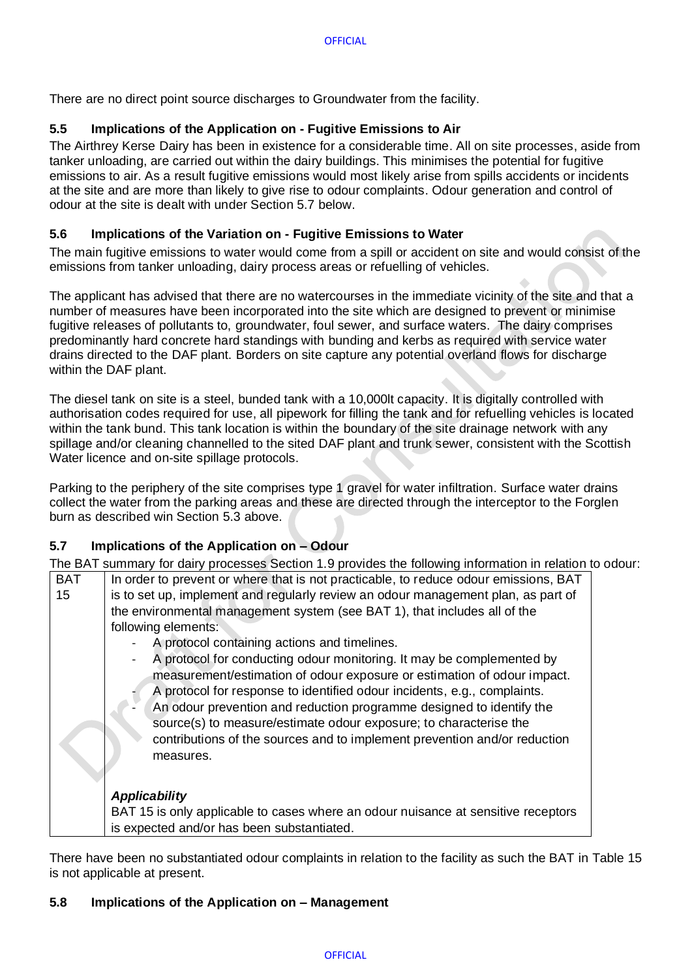<span id="page-8-0"></span>There are no direct point source discharges to Groundwater from the facility.

## **5.5 Implications of the Application on - Fugitive Emissions to Air**

The Airthrey Kerse Dairy has been in existence for a considerable time. All on site processes, aside from tanker unloading, are carried out within the dairy buildings. This minimises the potential for fugitive emissions to air. As a result fugitive emissions would most likely arise from spills accidents or incidents at the site and are more than likely to give rise to odour complaints. Odour generation and control of odour at the site is dealt with under Section 5.7 below.

## <span id="page-8-1"></span>**5.6 Implications of the Variation on - Fugitive Emissions to Water**

The main fugitive emissions to water would come from a spill or accident on site and would consist of the emissions from tanker unloading, dairy process areas or refuelling of vehicles.

The applicant has advised that there are no watercourses in the immediate vicinity of the site and that a number of measures have been incorporated into the site which are designed to prevent or minimise fugitive releases of pollutants to, groundwater, foul sewer, and surface waters. The dairy comprises predominantly hard concrete hard standings with bunding and kerbs as required with service water drains directed to the DAF plant. Borders on site capture any potential overland flows for discharge within the DAF plant.

The diesel tank on site is a steel, bunded tank with a 10,000lt capacity. It is digitally controlled with authorisation codes required for use, all pipework for filling the tank and for refuelling vehicles is located within the tank bund. This tank location is within the boundary of the site drainage network with any spillage and/or cleaning channelled to the sited DAF plant and trunk sewer, consistent with the Scottish Water licence and on-site spillage protocols.

Parking to the periphery of the site comprises type 1 gravel for water infiltration. Surface water drains collect the water from the parking areas and these are directed through the interceptor to the Forglen burn as described win Section 5.3 above.

## <span id="page-8-2"></span>**5.7 Implications of the Application on – Odour**

The BAT summary for dairy processes Section 1.9 provides the following information in relation to odour:

| <b>BAT</b> | In order to prevent or where that is not practicable, to reduce odour emissions, BAT                                                                                                                                                                                                                                                                                      |  |
|------------|---------------------------------------------------------------------------------------------------------------------------------------------------------------------------------------------------------------------------------------------------------------------------------------------------------------------------------------------------------------------------|--|
| 15         | is to set up, implement and regularly review an odour management plan, as part of                                                                                                                                                                                                                                                                                         |  |
|            | the environmental management system (see BAT 1), that includes all of the                                                                                                                                                                                                                                                                                                 |  |
|            | following elements:                                                                                                                                                                                                                                                                                                                                                       |  |
|            | A protocol containing actions and timelines.                                                                                                                                                                                                                                                                                                                              |  |
|            | A protocol for conducting odour monitoring. It may be complemented by<br>measurement/estimation of odour exposure or estimation of odour impact.<br>A protocol for response to identified odour incidents, e.g., complaints.<br>An odour prevention and reduction programme designed to identify the<br>source(s) to measure/estimate odour exposure; to characterise the |  |
|            | contributions of the sources and to implement prevention and/or reduction<br>measures.                                                                                                                                                                                                                                                                                    |  |
|            | <b>Applicability</b>                                                                                                                                                                                                                                                                                                                                                      |  |
|            | BAT 15 is only applicable to cases where an odour nuisance at sensitive receptors                                                                                                                                                                                                                                                                                         |  |
|            | is expected and/or has been substantiated.                                                                                                                                                                                                                                                                                                                                |  |

There have been no substantiated odour complaints in relation to the facility as such the BAT in Table 15 is not applicable at present.

### <span id="page-8-3"></span>**5.8 Implications of the Application on – Management**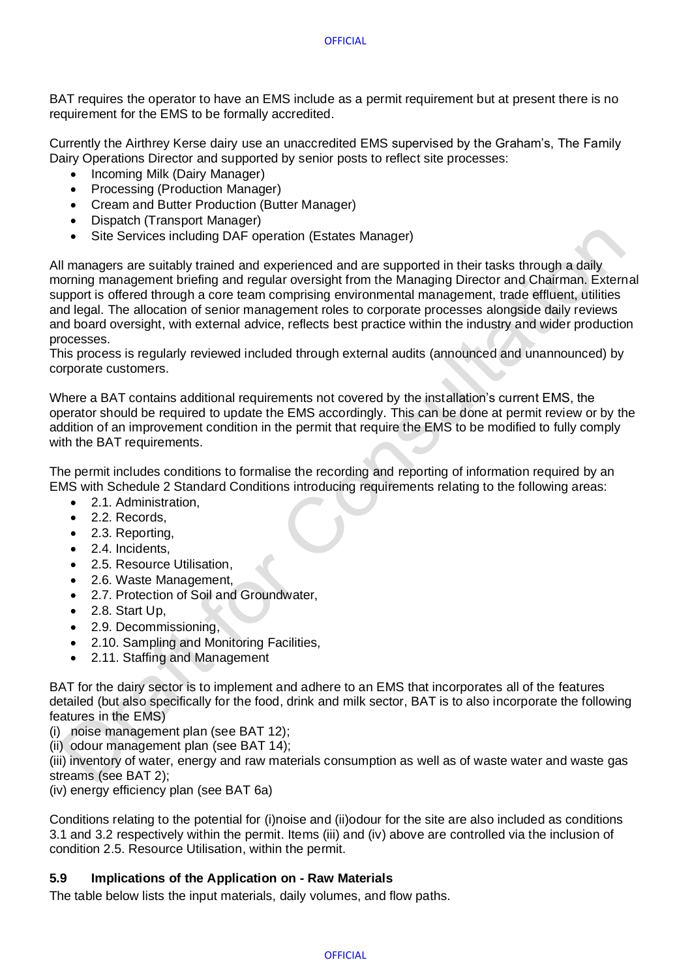BAT requires the operator to have an EMS include as a permit requirement but at present there is no requirement for the EMS to be formally accredited.

Currently the Airthrey Kerse dairy use an unaccredited EMS supervised by the Graham's, The Family Dairy Operations Director and supported by senior posts to reflect site processes:

- Incoming Milk (Dairy Manager)
- Processing (Production Manager)
- Cream and Butter Production (Butter Manager)
- Dispatch (Transport Manager)
- Site Services including DAF operation (Estates Manager)

All managers are suitably trained and experienced and are supported in their tasks through a daily morning management briefing and regular oversight from the Managing Director and Chairman. External support is offered through a core team comprising environmental management, trade effluent, utilities and legal. The allocation of senior management roles to corporate processes alongside daily reviews and board oversight, with external advice, reflects best practice within the industry and wider production processes.

This process is regularly reviewed included through external audits (announced and unannounced) by corporate customers.

Where a BAT contains additional requirements not covered by the installation's current EMS, the operator should be required to update the EMS accordingly. This can be done at permit review or by the addition of an improvement condition in the permit that require the EMS to be modified to fully comply with the BAT requirements.

The permit includes conditions to formalise the recording and reporting of information required by an EMS with Schedule 2 Standard Conditions introducing requirements relating to the following areas:

- 2.1. Administration,
- 2.2. Records,
- 2.3. Reporting,
- 2.4. Incidents,
- 2.5. Resource Utilisation,
- 2.6. Waste Management,
- 2.7. Protection of Soil and Groundwater,
- 2.8. Start Up.
- 2.9. Decommissioning,
- 2.10. Sampling and Monitoring Facilities,
- 2.11. Staffing and Management

BAT for the dairy sector is to implement and adhere to an EMS that incorporates all of the features detailed (but also specifically for the food, drink and milk sector, BAT is to also incorporate the following features in the EMS)

(i) noise management plan (see BAT 12);

(ii) odour management plan (see BAT 14);

(iii) inventory of water, energy and raw materials consumption as well as of waste water and waste gas streams (see BAT 2);

(iv) energy efficiency plan (see BAT 6a)

Conditions relating to the potential for (i)noise and (ii)odour for the site are also included as conditions 3.1 and 3.2 respectively within the permit. Items (iii) and (iv) above are controlled via the inclusion of condition 2.5. Resource Utilisation, within the permit.

### <span id="page-9-0"></span>**5.9 Implications of the Application on - Raw Materials**

The table below lists the input materials, daily volumes, and flow paths.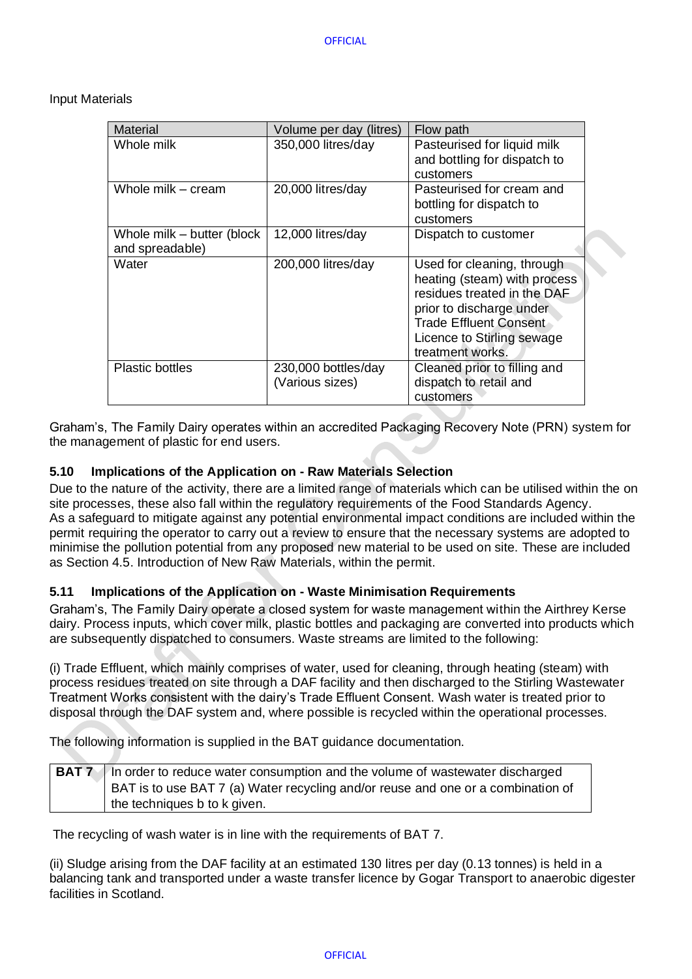Input Materials

| <b>Material</b>                               | Volume per day (litres)                | Flow path                                                                                                                                                                                         |
|-----------------------------------------------|----------------------------------------|---------------------------------------------------------------------------------------------------------------------------------------------------------------------------------------------------|
| Whole milk                                    | 350,000 litres/day                     | Pasteurised for liquid milk<br>and bottling for dispatch to<br>customers                                                                                                                          |
| Whole milk - cream                            | 20,000 litres/day                      | Pasteurised for cream and<br>bottling for dispatch to<br>customers                                                                                                                                |
| Whole milk – butter (block<br>and spreadable) | 12,000 litres/day                      | Dispatch to customer                                                                                                                                                                              |
| Water                                         | 200,000 litres/day                     | Used for cleaning, through<br>heating (steam) with process<br>residues treated in the DAF<br>prior to discharge under<br>Trade Effluent Consent<br>Licence to Stirling sewage<br>treatment works. |
| <b>Plastic bottles</b>                        | 230,000 bottles/day<br>(Various sizes) | Cleaned prior to filling and<br>dispatch to retail and<br>customers                                                                                                                               |

Graham's, The Family Dairy operates within an accredited Packaging Recovery Note (PRN) system for the management of plastic for end users.

## <span id="page-10-0"></span>**5.10 Implications of the Application on - Raw Materials Selection**

Due to the nature of the activity, there are a limited range of materials which can be utilised within the on site processes, these also fall within the regulatory requirements of the Food Standards Agency. As a safeguard to mitigate against any potential environmental impact conditions are included within the permit requiring the operator to carry out a review to ensure that the necessary systems are adopted to minimise the pollution potential from any proposed new material to be used on site. These are included as Section 4.5. Introduction of New Raw Materials, within the permit.

### <span id="page-10-1"></span>**5.11 Implications of the Application on - Waste Minimisation Requirements**

Graham's, The Family Dairy operate a closed system for waste management within the Airthrey Kerse dairy. Process inputs, which cover milk, plastic bottles and packaging are converted into products which are subsequently dispatched to consumers. Waste streams are limited to the following:

(i) Trade Effluent, which mainly comprises of water, used for cleaning, through heating (steam) with process residues treated on site through a DAF facility and then discharged to the Stirling Wastewater Treatment Works consistent with the dairy's Trade Effluent Consent. Wash water is treated prior to disposal through the DAF system and, where possible is recycled within the operational processes.

The following information is supplied in the BAT guidance documentation.

| BAT 7   In order to reduce water consumption and the volume of wastewater discharged |
|--------------------------------------------------------------------------------------|
| BAT is to use BAT 7 (a) Water recycling and/or reuse and one or a combination of     |
| the techniques b to k given.                                                         |

The recycling of wash water is in line with the requirements of BAT 7.

(ii) Sludge arising from the DAF facility at an estimated 130 litres per day (0.13 tonnes) is held in a balancing tank and transported under a waste transfer licence by Gogar Transport to anaerobic digester facilities in Scotland.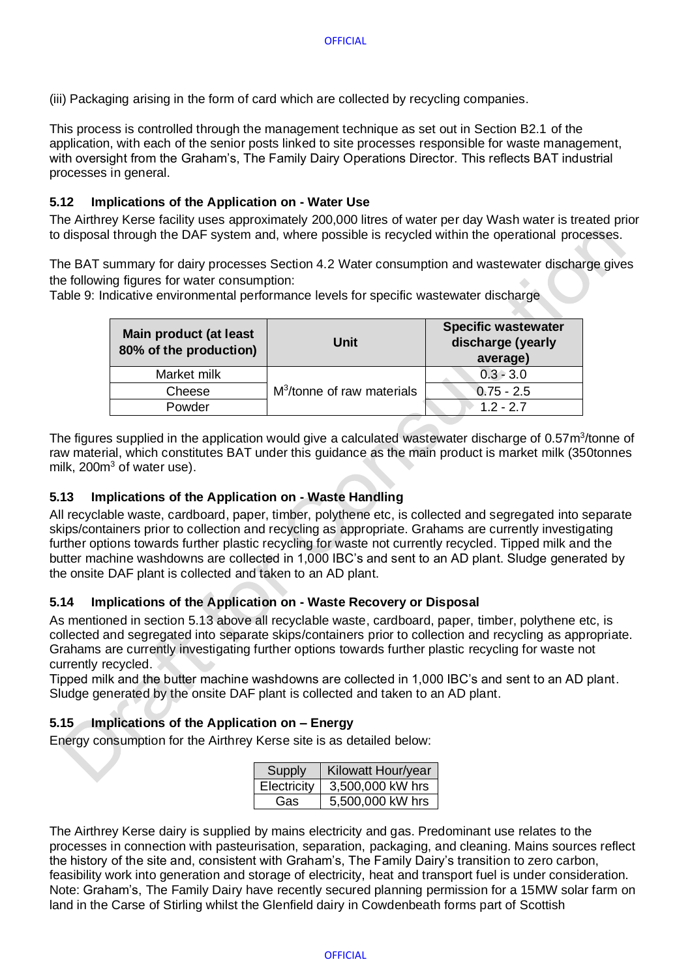(iii) Packaging arising in the form of card which are collected by recycling companies.

This process is controlled through the management technique as set out in Section B2.1 of the application, with each of the senior posts linked to site processes responsible for waste management, with oversight from the Graham's, The Family Dairy Operations Director. This reflects BAT industrial processes in general.

## <span id="page-11-0"></span>**5.12 Implications of the Application on - Water Use**

The Airthrey Kerse facility uses approximately 200,000 litres of water per day Wash water is treated prior to disposal through the DAF system and, where possible is recycled within the operational processes.

The BAT summary for dairy processes Section 4.2 Water consumption and wastewater discharge gives the following figures for water consumption:

Table 9: Indicative environmental performance levels for specific wastewater discharge

| Main product (at least<br>80% of the production) | Unit                                   | <b>Specific wastewater</b><br>discharge (yearly<br>average) |
|--------------------------------------------------|----------------------------------------|-------------------------------------------------------------|
| Market milk                                      | M <sup>3</sup> /tonne of raw materials | $0.3 - 3.0$                                                 |
| Cheese                                           |                                        | $0.75 - 2.5$                                                |
| Powder                                           |                                        | $1.2 - 2.7$                                                 |

The figures supplied in the application would give a calculated wastewater discharge of 0.57m<sup>3</sup>/tonne of raw material, which constitutes BAT under this guidance as the main product is market milk (350tonnes milk, 200m<sup>3</sup> of water use).

### <span id="page-11-1"></span>**5.13 Implications of the Application on - Waste Handling**

All recyclable waste, cardboard, paper, timber, polythene etc, is collected and segregated into separate skips/containers prior to collection and recycling as appropriate. Grahams are currently investigating further options towards further plastic recycling for waste not currently recycled. Tipped milk and the butter machine washdowns are collected in 1,000 IBC's and sent to an AD plant. Sludge generated by the onsite DAF plant is collected and taken to an AD plant.

### <span id="page-11-2"></span>**5.14 Implications of the Application on - Waste Recovery or Disposal**

As mentioned in section 5.13 above all recyclable waste, cardboard, paper, timber, polythene etc, is collected and segregated into separate skips/containers prior to collection and recycling as appropriate. Grahams are currently investigating further options towards further plastic recycling for waste not currently recycled.

Tipped milk and the butter machine washdowns are collected in 1,000 IBC's and sent to an AD plant. Sludge generated by the onsite DAF plant is collected and taken to an AD plant.

### <span id="page-11-3"></span>**5.15 Implications of the Application on – Energy**

Energy consumption for the Airthrey Kerse site is as detailed below:

| Supply      | Kilowatt Hour/year |
|-------------|--------------------|
| Electricity | 3,500,000 kW hrs   |
| Gas.        | 5,500,000 kW hrs   |

The Airthrey Kerse dairy is supplied by mains electricity and gas. Predominant use relates to the processes in connection with pasteurisation, separation, packaging, and cleaning. Mains sources reflect the history of the site and, consistent with Graham's, The Family Dairy's transition to zero carbon, feasibility work into generation and storage of electricity, heat and transport fuel is under consideration. Note: Graham's, The Family Dairy have recently secured planning permission for a 15MW solar farm on land in the Carse of Stirling whilst the Glenfield dairy in Cowdenbeath forms part of Scottish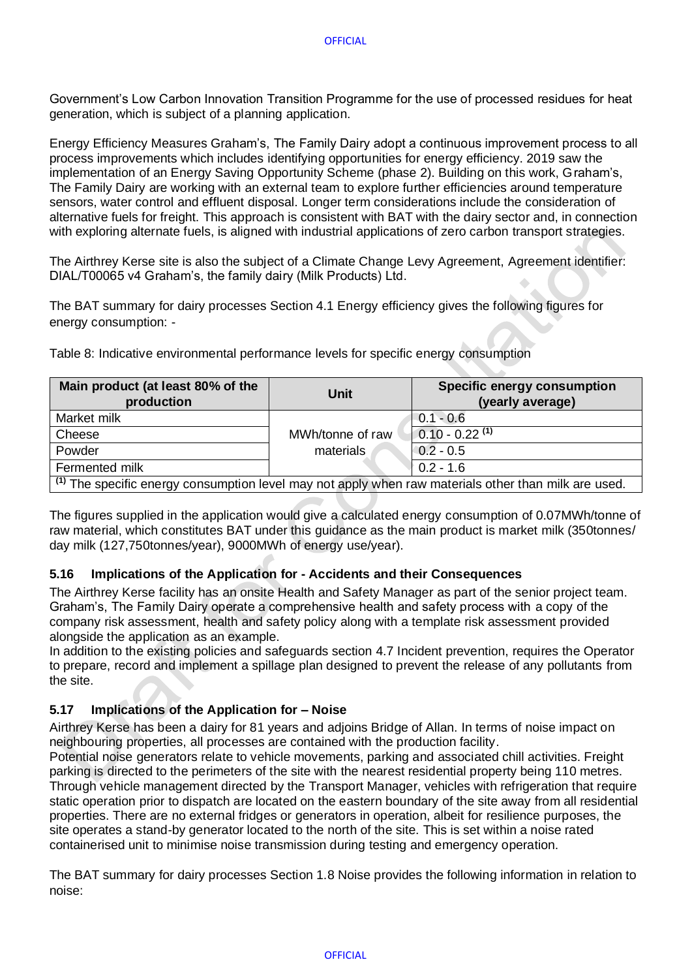Government's Low Carbon Innovation Transition Programme for the use of processed residues for heat generation, which is subject of a planning application.

Energy Efficiency Measures Graham's, The Family Dairy adopt a continuous improvement process to all process improvements which includes identifying opportunities for energy efficiency. 2019 saw the implementation of an Energy Saving Opportunity Scheme (phase 2). Building on this work, Graham's, The Family Dairy are working with an external team to explore further efficiencies around temperature sensors, water control and effluent disposal. Longer term considerations include the consideration of alternative fuels for freight. This approach is consistent with BAT with the dairy sector and, in connection with exploring alternate fuels, is aligned with industrial applications of zero carbon transport strategies.

The Airthrey Kerse site is also the subject of a Climate Change Levy Agreement, Agreement identifier: DIAL/T00065 v4 Graham's, the family dairy (Milk Products) Ltd.

The BAT summary for dairy processes Section 4.1 Energy efficiency gives the following figures for energy consumption: -

Table 8: Indicative environmental performance levels for specific energy consumption

| Main product (at least 80% of the<br>production                                                                 | Unit             | Specific energy consumption<br>(yearly average) |  |
|-----------------------------------------------------------------------------------------------------------------|------------------|-------------------------------------------------|--|
| Market milk                                                                                                     |                  | $0.1 - 0.6$                                     |  |
| Cheese                                                                                                          | MWh/tonne of raw | $0.10 - 0.22$ <sup>(1)</sup>                    |  |
| Powder                                                                                                          | materials        | $0.2 - 0.5$                                     |  |
| Fermented milk                                                                                                  |                  | $0.2 - 1.6$                                     |  |
| <sup>(1)</sup> The specific energy consumption level may not apply when raw materials other than milk are used. |                  |                                                 |  |

The figures supplied in the application would give a calculated energy consumption of 0.07MWh/tonne of

raw material, which constitutes BAT under this guidance as the main product is market milk (350tonnes/ day milk (127,750tonnes/year), 9000MWh of energy use/year).

## <span id="page-12-0"></span>**5.16 Implications of the Application for - Accidents and their Consequences**

The Airthrey Kerse facility has an onsite Health and Safety Manager as part of the senior project team. Graham's, The Family Dairy operate a comprehensive health and safety process with a copy of the company risk assessment, health and safety policy along with a template risk assessment provided alongside the application as an example.

In addition to the existing policies and safeguards section 4.7 Incident prevention, requires the Operator to prepare, record and implement a spillage plan designed to prevent the release of any pollutants from the site.

## <span id="page-12-1"></span>**5.17 Implications of the Application for – Noise**

Airthrey Kerse has been a dairy for 81 years and adjoins Bridge of Allan. In terms of noise impact on neighbouring properties, all processes are contained with the production facility.

Potential noise generators relate to vehicle movements, parking and associated chill activities. Freight parking is directed to the perimeters of the site with the nearest residential property being 110 metres. Through vehicle management directed by the Transport Manager, vehicles with refrigeration that require static operation prior to dispatch are located on the eastern boundary of the site away from all residential properties. There are no external fridges or generators in operation, albeit for resilience purposes, the site operates a stand-by generator located to the north of the site. This is set within a noise rated containerised unit to minimise noise transmission during testing and emergency operation.

The BAT summary for dairy processes Section 1.8 Noise provides the following information in relation to noise: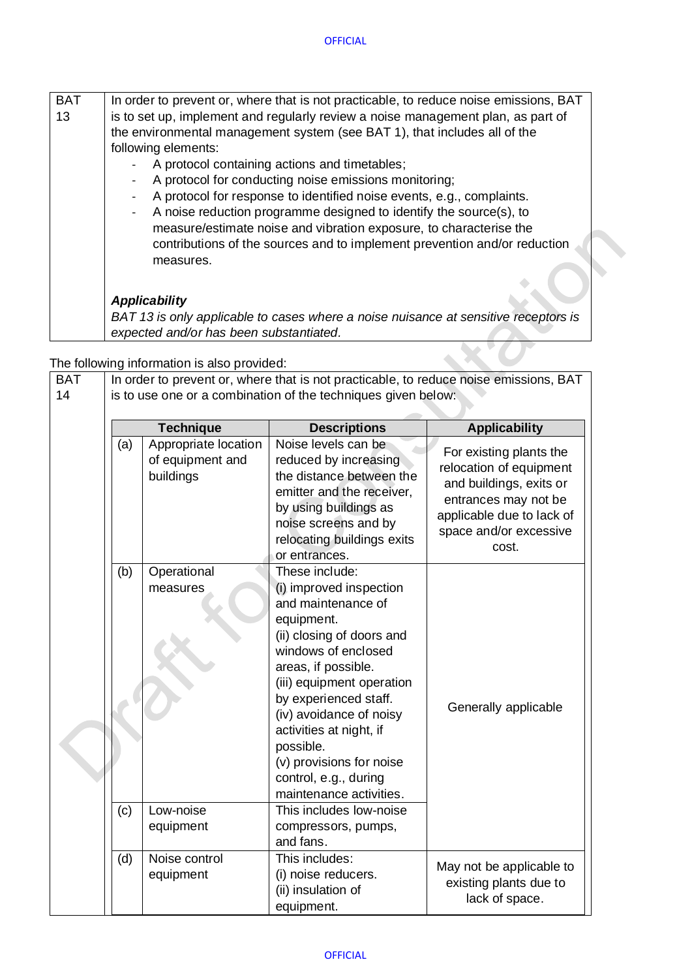| <b>BAT</b> | In order to prevent or, where that is not practicable, to reduce noise emissions, BAT |
|------------|---------------------------------------------------------------------------------------|
| 13         | is to set up, implement and regularly review a noise management plan, as part of      |
|            | the environmental management system (see BAT 1), that includes all of the             |
|            | following elements:                                                                   |
|            | A protocol containing actions and timetables;                                         |
|            | A protocol for conducting noise emissions monitoring;                                 |
|            | A protocol for response to identified noise events, e.g., complaints.                 |
|            | A noise reduction programme designed to identify the source(s), to                    |
|            | measure/estimate noise and vibration exposure, to characterise the                    |
|            | contributions of the sources and to implement prevention and/or reduction             |
|            | measures.                                                                             |
|            |                                                                                       |
|            | <b>Applicability</b>                                                                  |
|            |                                                                                       |
|            | BAT 13 is only applicable to cases where a noise nuisance at sensitive receptors is   |
|            | expected and/or has been substantiated.                                               |

 $\triangle$ 

The following information is also provided:

| <b>BAT</b> | <u>me rollowing lition liation to diso provided.</u><br>In order to prevent or, where that is not practicable, to reduce noise emissions, BAT |                                                       |                                                                                                                                                                                                                                                                                                                                                                   |                                                                                                                                                                       |  |
|------------|-----------------------------------------------------------------------------------------------------------------------------------------------|-------------------------------------------------------|-------------------------------------------------------------------------------------------------------------------------------------------------------------------------------------------------------------------------------------------------------------------------------------------------------------------------------------------------------------------|-----------------------------------------------------------------------------------------------------------------------------------------------------------------------|--|
| 14         | is to use one or a combination of the techniques given below:                                                                                 |                                                       |                                                                                                                                                                                                                                                                                                                                                                   |                                                                                                                                                                       |  |
|            |                                                                                                                                               |                                                       |                                                                                                                                                                                                                                                                                                                                                                   |                                                                                                                                                                       |  |
|            |                                                                                                                                               | <b>Technique</b>                                      | <b>Descriptions</b>                                                                                                                                                                                                                                                                                                                                               | <b>Applicability</b>                                                                                                                                                  |  |
|            | (a)                                                                                                                                           | Appropriate location<br>of equipment and<br>buildings | Noise levels can be<br>reduced by increasing<br>the distance between the<br>emitter and the receiver,<br>by using buildings as<br>noise screens and by<br>relocating buildings exits<br>or entrances.                                                                                                                                                             | For existing plants the<br>relocation of equipment<br>and buildings, exits or<br>entrances may not be<br>applicable due to lack of<br>space and/or excessive<br>cost. |  |
|            | (b)                                                                                                                                           | Operational<br>measures                               | These include:<br>(i) improved inspection<br>and maintenance of<br>equipment.<br>(ii) closing of doors and<br>windows of enclosed<br>areas, if possible.<br>(iii) equipment operation<br>by experienced staff.<br>(iv) avoidance of noisy<br>activities at night, if<br>possible.<br>(v) provisions for noise<br>control, e.g., during<br>maintenance activities. | Generally applicable                                                                                                                                                  |  |
|            | (c)                                                                                                                                           | Low-noise<br>equipment                                | This includes low-noise<br>compressors, pumps,<br>and fans.                                                                                                                                                                                                                                                                                                       |                                                                                                                                                                       |  |
|            | (d)                                                                                                                                           | Noise control<br>equipment                            | This includes:<br>(i) noise reducers.<br>(ii) insulation of<br>equipment.                                                                                                                                                                                                                                                                                         | May not be applicable to<br>existing plants due to<br>lack of space.                                                                                                  |  |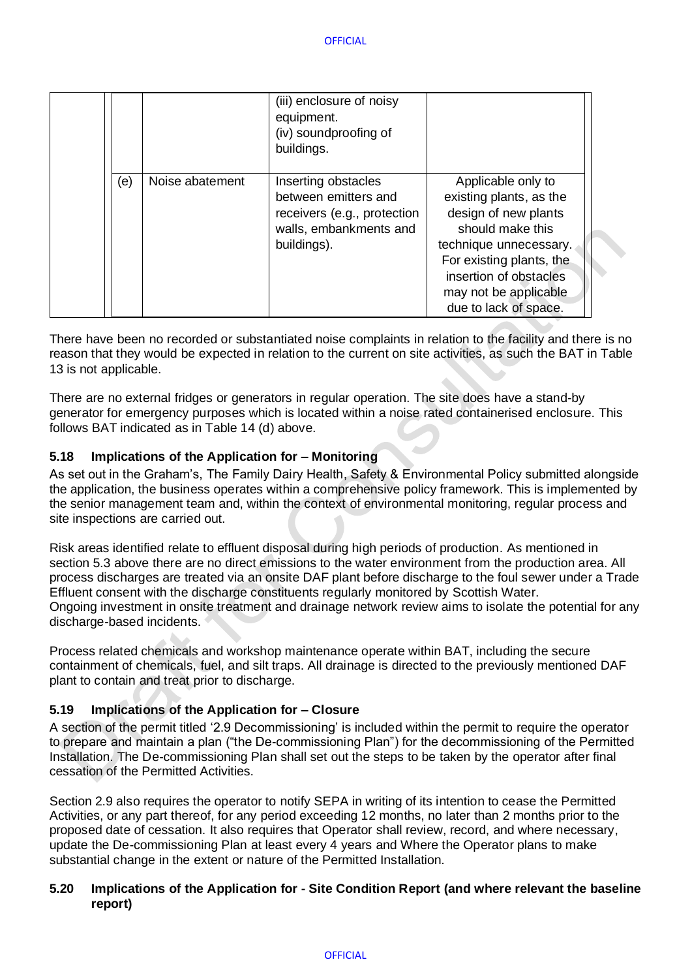|     |                 | (iii) enclosure of noisy<br>equipment.<br>(iv) soundproofing of<br>buildings.                                       |                                                                                                                                                                                                                             |
|-----|-----------------|---------------------------------------------------------------------------------------------------------------------|-----------------------------------------------------------------------------------------------------------------------------------------------------------------------------------------------------------------------------|
| (e) | Noise abatement | Inserting obstacles<br>between emitters and<br>receivers (e.g., protection<br>walls, embankments and<br>buildings). | Applicable only to<br>existing plants, as the<br>design of new plants<br>should make this<br>technique unnecessary.<br>For existing plants, the<br>insertion of obstacles<br>may not be applicable<br>due to lack of space. |

There have been no recorded or substantiated noise complaints in relation to the facility and there is no reason that they would be expected in relation to the current on site activities, as such the BAT in Table 13 is not applicable.

There are no external fridges or generators in regular operation. The site does have a stand-by generator for emergency purposes which is located within a noise rated containerised enclosure. This follows BAT indicated as in Table 14 (d) above.

## <span id="page-14-0"></span>**5.18 Implications of the Application for – Monitoring**

As set out in the Graham's, The Family Dairy Health, Safety & Environmental Policy submitted alongside the application, the business operates within a comprehensive policy framework. This is implemented by the senior management team and, within the context of environmental monitoring, regular process and site inspections are carried out.

Risk areas identified relate to effluent disposal during high periods of production. As mentioned in section 5.3 above there are no direct emissions to the water environment from the production area. All process discharges are treated via an onsite DAF plant before discharge to the foul sewer under a Trade Effluent consent with the discharge constituents regularly monitored by Scottish Water. Ongoing investment in onsite treatment and drainage network review aims to isolate the potential for any discharge-based incidents.

Process related chemicals and workshop maintenance operate within BAT, including the secure containment of chemicals, fuel, and silt traps. All drainage is directed to the previously mentioned DAF plant to contain and treat prior to discharge.

## <span id="page-14-1"></span>**5.19 Implications of the Application for – Closure**

A section of the permit titled '2.9 Decommissioning' is included within the permit to require the operator to prepare and maintain a plan ("the De-commissioning Plan") for the decommissioning of the Permitted Installation. The De-commissioning Plan shall set out the steps to be taken by the operator after final cessation of the Permitted Activities.

Section 2.9 also requires the operator to notify SEPA in writing of its intention to cease the Permitted Activities, or any part thereof, for any period exceeding 12 months, no later than 2 months prior to the proposed date of cessation. It also requires that Operator shall review, record, and where necessary, update the De-commissioning Plan at least every 4 years and Where the Operator plans to make substantial change in the extent or nature of the Permitted Installation.

### <span id="page-14-2"></span>**5.20 Implications of the Application for - Site Condition Report (and where relevant the baseline report)**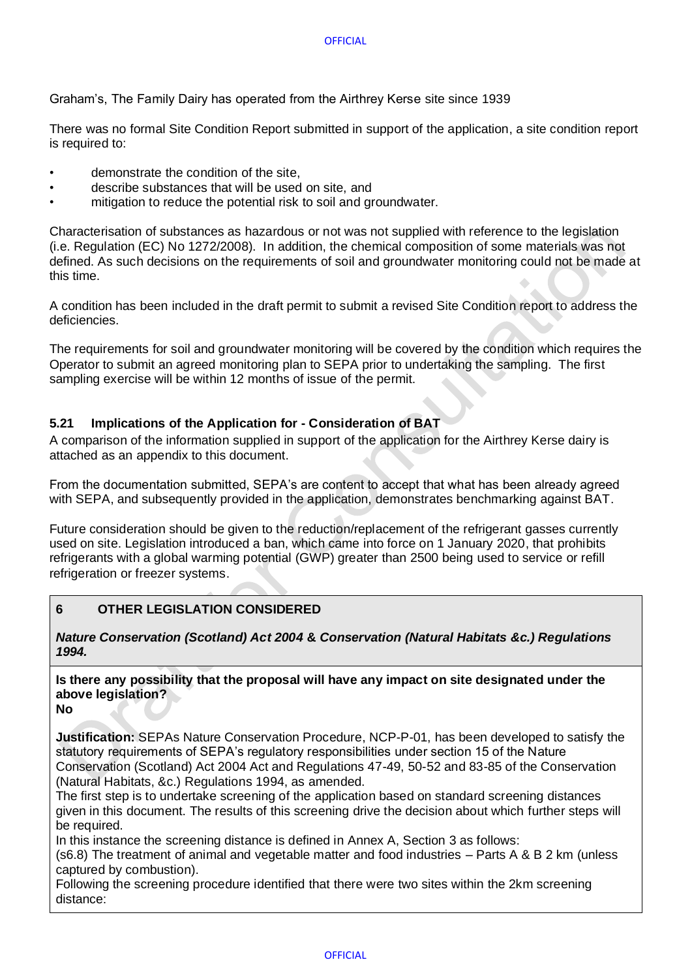Graham's, The Family Dairy has operated from the Airthrey Kerse site since 1939

There was no formal Site Condition Report submitted in support of the application, a site condition report is required to:

- demonstrate the condition of the site,
- describe substances that will be used on site, and
- mitigation to reduce the potential risk to soil and groundwater.

Characterisation of substances as hazardous or not was not supplied with reference to the legislation (i.e. Regulation (EC) No 1272/2008). In addition, the chemical composition of some materials was not defined. As such decisions on the requirements of soil and groundwater monitoring could not be made at this time.

A condition has been included in the draft permit to submit a revised Site Condition report to address the deficiencies.

The requirements for soil and groundwater monitoring will be covered by the condition which requires the Operator to submit an agreed monitoring plan to SEPA prior to undertaking the sampling. The first sampling exercise will be within 12 months of issue of the permit.

## <span id="page-15-0"></span>**5.21 Implications of the Application for - Consideration of BAT**

A comparison of the information supplied in support of the application for the Airthrey Kerse dairy is attached as an appendix to this document.

From the documentation submitted, SEPA's are content to accept that what has been already agreed with SEPA, and subsequently provided in the application, demonstrates benchmarking against BAT.

Future consideration should be given to the reduction/replacement of the refrigerant gasses currently used on site. Legislation introduced a ban, which came into force on 1 January 2020, that prohibits refrigerants with a global warming potential (GWP) greater than 2500 being used to service or refill refrigeration or freezer systems.

## <span id="page-15-1"></span>**6 OTHER LEGISLATION CONSIDERED**

*Nature Conservation (Scotland) Act 2004* **&** *Conservation (Natural Habitats &c.) Regulations 1994.*

# **Is there any possibility that the proposal will have any impact on site designated under the above legislation?**

**No**

**Justification:** SEPAs Nature Conservation Procedure, NCP-P-01, has been developed to satisfy the statutory requirements of SEPA's regulatory responsibilities under section 15 of the Nature Conservation (Scotland) Act 2004 Act and Regulations 47-49, 50-52 and 83-85 of the Conservation (Natural Habitats, &c.) Regulations 1994, as amended.

The first step is to undertake screening of the application based on standard screening distances given in this document. The results of this screening drive the decision about which further steps will be required.

In this instance the screening distance is defined in Annex A, Section 3 as follows:

(s6.8) The treatment of animal and vegetable matter and food industries – Parts A & B 2 km (unless captured by combustion).

Following the screening procedure identified that there were two sites within the 2km screening distance: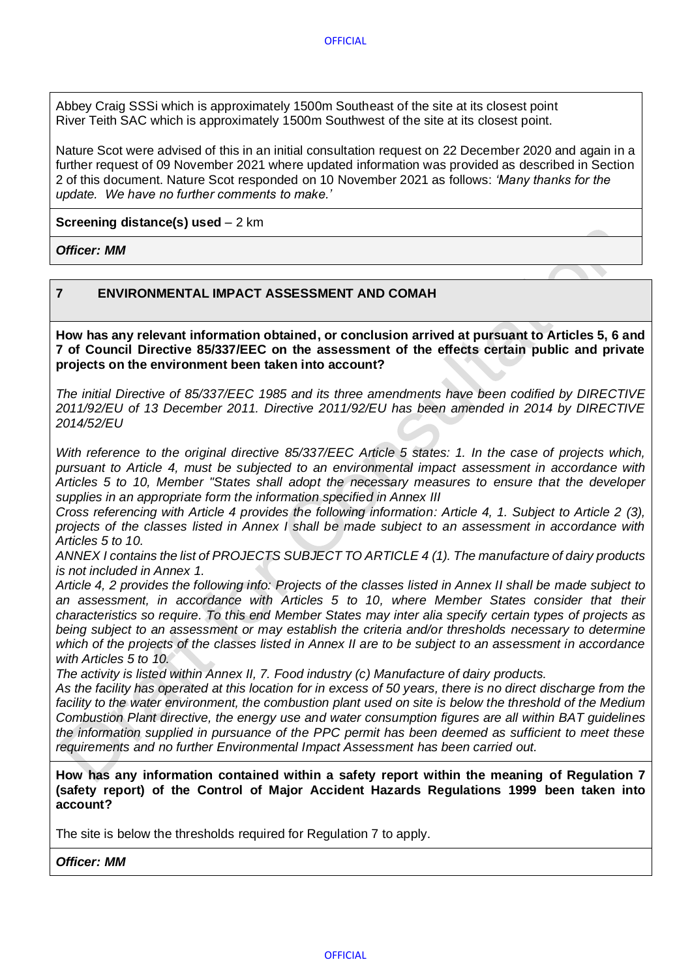Abbey Craig SSSi which is approximately 1500m Southeast of the site at its closest point River Teith SAC which is approximately 1500m Southwest of the site at its closest point.

Nature Scot were advised of this in an initial consultation request on 22 December 2020 and again in a further request of 09 November 2021 where updated information was provided as described in Section 2 of this document. Nature Scot responded on 10 November 2021 as follows: *'Many thanks for the update. We have no further comments to make.'*

**Screening distance(s) used** – 2 km

*Officer: MM*

## <span id="page-16-0"></span>**7 ENVIRONMENTAL IMPACT ASSESSMENT AND COMAH**

**How has any relevant information obtained, or conclusion arrived at pursuant to Articles 5, 6 and 7 of Council Directive 85/337/EEC on the assessment of the effects certain public and private projects on the environment been taken into account?** 

*The initial Directive of 85/337/EEC 1985 and its three amendments have been codified by DIRECTIVE 2011/92/EU of 13 December 2011. Directive 2011/92/EU has been amended in 2014 by DIRECTIVE 2014/52/EU*

*With reference to the original directive 85/337/EEC Article 5 states: 1. In the case of projects which, pursuant to Article 4, must be subjected to an environmental impact assessment in accordance with Articles 5 to 10, Member ''States shall adopt the necessary measures to ensure that the developer supplies in an appropriate form the information specified in Annex III*

*Cross referencing with Article 4 provides the following information: Article 4, 1. Subject to Article 2 (3), projects of the classes listed in Annex I shall be made subject to an assessment in accordance with Articles 5 to 10.*

*ANNEX I contains the list of PROJECTS SUBJECT TO ARTICLE 4 (1). The manufacture of dairy products is not included in Annex 1.*

*Article 4, 2 provides the following info: Projects of the classes listed in Annex II shall be made subject to an assessment, in accordance with Articles 5 to 10, where Member States consider that their characteristics so require. To this end Member States may inter alia specify certain types of projects as being subject to an assessment or may establish the criteria and/or thresholds necessary to determine which of the projects of the classes listed in Annex II are to be subject to an assessment in accordance with Articles 5 to 10.*

*The activity is listed within Annex II, 7. Food industry (c) Manufacture of dairy products.*

*As the facility has operated at this location for in excess of 50 years, there is no direct discharge from the facility to the water environment, the combustion plant used on site is below the threshold of the Medium Combustion Plant directive, the energy use and water consumption figures are all within BAT guidelines the information supplied in pursuance of the PPC permit has been deemed as sufficient to meet these requirements and no further Environmental Impact Assessment has been carried out.*

**How has any information contained within a safety report within the meaning of Regulation 7 (safety report) of the Control of Major Accident Hazards Regulations 1999 been taken into account?** 

The site is below the thresholds required for Regulation 7 to apply.

*Officer: MM*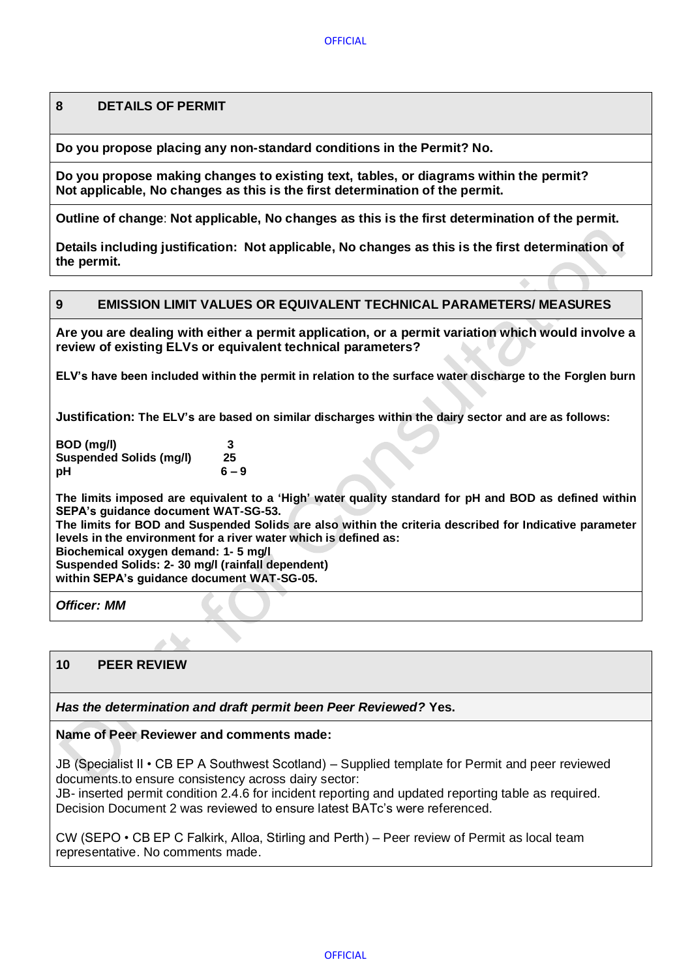## <span id="page-17-0"></span>**8 DETAILS OF PERMIT**

**Do you propose placing any non-standard conditions in the Permit? No.**

**Do you propose making changes to existing text, tables, or diagrams within the permit? Not applicable, No changes as this is the first determination of the permit.**

**Outline of change**: **Not applicable, No changes as this is the first determination of the permit.**

**Details including justification: Not applicable, No changes as this is the first determination of the permit.**

#### <span id="page-17-1"></span>**9 EMISSION LIMIT VALUES OR EQUIVALENT TECHNICAL PARAMETERS/ MEASURES**

**Are you are dealing with either a permit application, or a permit variation which would involve a review of existing ELVs or equivalent technical parameters?** 

**ELV's have been included within the permit in relation to the surface water discharge to the Forglen burn**

**Justification: The ELV's are based on similar discharges within the dairy sector and are as follows:**

**BOD (mg/l) 3 Suspended Solids (mg/l) 25 pH 6 – 9**

**The limits imposed are equivalent to a 'High' water quality standard for pH and BOD as defined within SEPA's guidance document WAT-SG-53.**

**The limits for BOD and Suspended Solids are also within the criteria described for Indicative parameter levels in the environment for a river water which is defined as:**

**Biochemical oxygen demand: 1- 5 mg/l**

 $\mathbf{A}$ 

**Suspended Solids: 2- 30 mg/l (rainfall dependent) within SEPA's guidance document WAT-SG-05.**

*Officer: MM*

### <span id="page-17-2"></span>**10 PEER REVIEW**

*Has the determination and draft permit been Peer Reviewed?* **Yes.**

#### **Name of Peer Reviewer and comments made:**

JB (Specialist II • CB EP A Southwest Scotland) – Supplied template for Permit and peer reviewed documents.to ensure consistency across dairy sector:

JB- inserted permit condition 2.4.6 for incident reporting and updated reporting table as required. Decision Document 2 was reviewed to ensure latest BATc's were referenced.

CW (SEPO • CB EP C Falkirk, Alloa, Stirling and Perth) – Peer review of Permit as local team representative. No comments made.